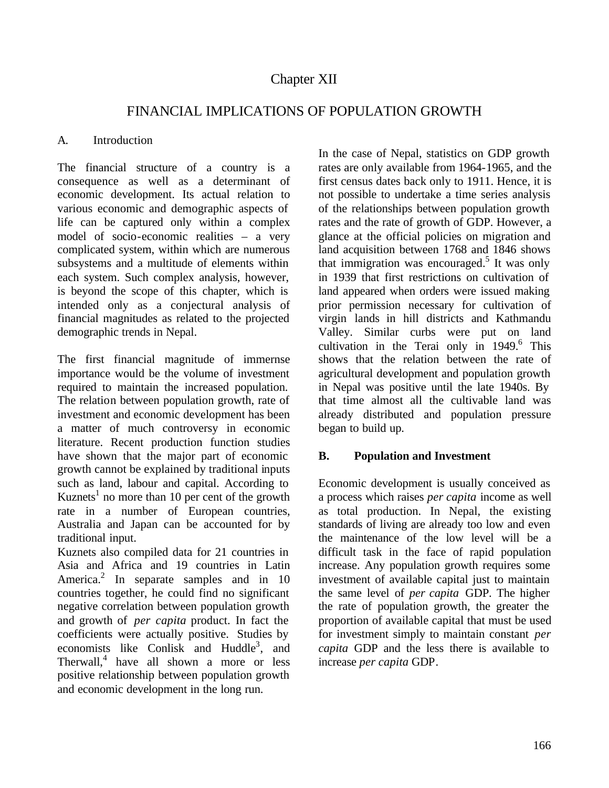# Chapter XII

## FINANCIAL IMPLICATIONS OF POPULATION GROWTH

### A. Introduction

The financial structure of a country is a consequence as well as a determinant of economic development. Its actual relation to various economic and demographic aspects of life can be captured only within a complex model of socio-economic realities – a very complicated system, within which are numerous subsystems and a multitude of elements within each system. Such complex analysis, however, is beyond the scope of this chapter, which is intended only as a conjectural analysis of financial magnitudes as related to the projected demographic trends in Nepal.

The first financial magnitude of immernse importance would be the volume of investment required to maintain the increased population. The relation between population growth, rate of investment and economic development has been a matter of much controversy in economic literature. Recent production function studies have shown that the major part of economic growth cannot be explained by traditional inputs such as land, labour and capital. According to Kuznets<sup>1</sup> no more than 10 per cent of the growth rate in a number of European countries, Australia and Japan can be accounted for by traditional input.

Kuznets also compiled data for 21 countries in Asia and Africa and 19 countries in Latin America.<sup>2</sup> In separate samples and in 10 countries together, he could find no significant negative correlation between population growth and growth of *per capita* product. In fact the coefficients were actually positive. Studies by economists like Conlisk and Huddle<sup>3</sup>, and Therwall,<sup>4</sup> have all shown a more or less positive relationship between population growth and economic development in the long run.

In the case of Nepal, statistics on GDP growth rates are only available from 1964-1965, and the first census dates back only to 1911. Hence, it is not possible to undertake a time series analysis of the relationships between population growth rates and the rate of growth of GDP. However, a glance at the official policies on migration and land acquisition between 1768 and 1846 shows that immigration was encouraged.<sup>5</sup> It was only in 1939 that first restrictions on cultivation of land appeared when orders were issued making prior permission necessary for cultivation of virgin lands in hill districts and Kathmandu Valley. Similar curbs were put on land cultivation in the Terai only in 1949.<sup>6</sup> This shows that the relation between the rate of agricultural development and population growth in Nepal was positive until the late 1940s. By that time almost all the cultivable land was already distributed and population pressure began to build up.

### **B. Population and Investment**

Economic development is usually conceived as a process which raises *per capita* income as well as total production. In Nepal, the existing standards of living are already too low and even the maintenance of the low level will be a difficult task in the face of rapid population increase. Any population growth requires some investment of available capital just to maintain the same level of *per capita* GDP. The higher the rate of population growth, the greater the proportion of available capital that must be used for investment simply to maintain constant *per capita* GDP and the less there is available to increase *per capita* GDP.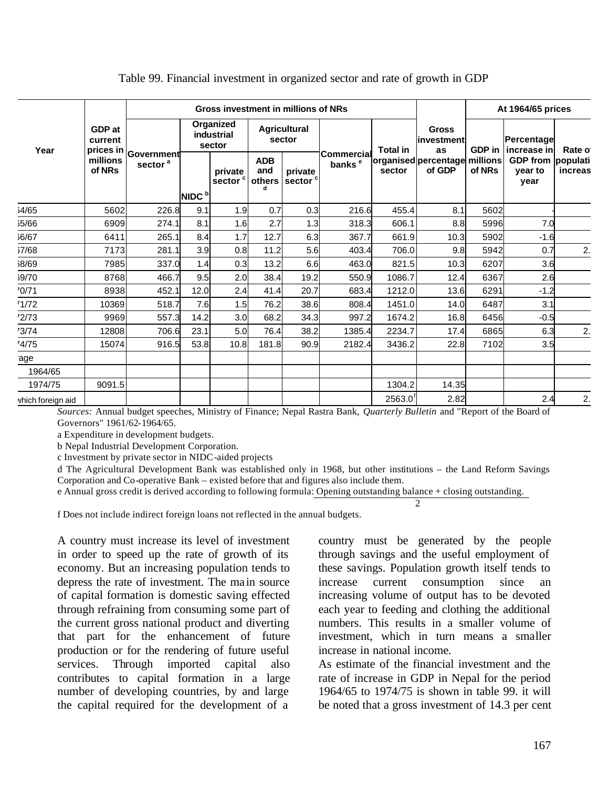|                   |                    |                                             |                   | Gross investment in millions of NRs |                                   |                                | At 1964/65 prices                       |        |                                |                                  |                                    |                           |         |
|-------------------|--------------------|---------------------------------------------|-------------------|-------------------------------------|-----------------------------------|--------------------------------|-----------------------------------------|--------|--------------------------------|----------------------------------|------------------------------------|---------------------------|---------|
| Year              | GDP at<br>current  |                                             |                   |                                     | Organized<br>industrial<br>sector |                                | <b>Agricultural</b><br>sector           |        | <b>Total in</b>                | <b>Gross</b><br>investment<br>as | GDP in                             | Percentage<br>increase in | Rate of |
|                   | millions<br>of NRs | prices in Government<br>sector <sup>a</sup> |                   | private<br>sector <sup>c</sup>      | <b>ADB</b><br>and<br>others       | private<br>sector <sup>c</sup> | <b>Commercial</b><br>banks <sup>e</sup> | sector | organised percentage<br>of GDP | millions<br>of NRs               | <b>GDP from</b><br>vear to<br>year | populati<br>increas       |         |
|                   |                    |                                             | NIDC <sup>b</sup> |                                     |                                   |                                |                                         |        |                                |                                  |                                    |                           |         |
| 34/65             | 5602               | 226.8                                       | 9.1               | 1.9                                 | 0.7                               | 0.3                            | 216.6                                   | 455.4  | 8.1                            | 5602                             |                                    |                           |         |
| 35/66             | 6909               | 274.1                                       | 8.1               | 1.6                                 | 2.7                               | 1.3                            | 318.3                                   | 606.1  | 8.8                            | 5996                             | 7.0                                |                           |         |
| 36/67             | 6411               | 265.1                                       | 8.4               | 1.7                                 | 12.7                              | 6.3                            | 367.7                                   | 661.9  | 10.3                           | 5902                             | $-1.6$                             |                           |         |
| 37/68             | 7173               | 281.1                                       | 3.9               | 0.8                                 | 11.2                              | 5.6                            | 403.4                                   | 706.0  | 9.8                            | 5942                             | 0.7                                | 2.                        |         |
| 38/69             | 7985               | 337.0                                       | 1.4               | 0.3                                 | 13.2                              | 6.6                            | 463.0                                   | 821.5  | 10.3                           | 6207                             | 3.6                                |                           |         |
| 39/70             | 8768               | 466.7                                       | 9.5               | 2.0                                 | 38.4                              | 19.2                           | 550.9                                   | 1086.7 | 12.4                           | 6367                             | 2.6                                |                           |         |
| 70/71             | 8938               | 452.1                                       | 12.0              | 2.4                                 | 41.4                              | 20.7                           | 683.4                                   | 1212.0 | 13.6                           | 6291                             | $-1.2$                             |                           |         |
| 1/72              | 10369              | 518.7                                       | 7.6               | 1.5                                 | 76.2                              | 38.6                           | 808.4                                   | 1451.0 | 14.0                           | 6487                             | 3.1                                |                           |         |
| '2/73             | 9969               | 557.3                                       | 14.2              | 3.0                                 | 68.2                              | 34.3                           | 997.2                                   | 1674.2 | 16.8                           | 6456                             | $-0.5$                             |                           |         |
| '3/74             | 12808              | 706.6                                       | 23.1              | 5.0                                 | 76.4                              | 38.2                           | 1385.4                                  | 2234.7 | 17.4                           | 6865                             | 6.3                                | 2.                        |         |
| '4/75             | 15074              | 916.5                                       | 53.8              | 10.8                                | 181.8                             | 90.9                           | 2182.4                                  | 3436.2 | 22.8                           | 7102                             | 3.5                                |                           |         |
| age               |                    |                                             |                   |                                     |                                   |                                |                                         |        |                                |                                  |                                    |                           |         |
| 1964/65           |                    |                                             |                   |                                     |                                   |                                |                                         |        |                                |                                  |                                    |                           |         |
| 1974/75           | 9091.5             |                                             |                   |                                     |                                   |                                |                                         | 1304.2 | 14.35                          |                                  |                                    |                           |         |
| which foreign aid |                    |                                             |                   |                                     |                                   |                                |                                         | 2563.0 | 2.82                           |                                  | 2.4                                | 2.                        |         |

#### Table 99. Financial investment in organized sector and rate of growth in GDP

*Sources:* Annual budget speeches, Ministry of Finance; Nepal Rastra Bank, *Quarterly Bulletin* and "Report of the Board of Governors" 1961/62-1964/65.

a Expenditure in development budgets.

b Nepal Industrial Development Corporation.

c Investment by private sector in NIDC-aided projects

d The Agricultural Development Bank was established only in 1968, but other institutions – the Land Reform Savings Corporation and Co-operative Bank – existed before that and figures also include them.

e Annual gross credit is derived according to following formula: Opening outstanding balance + closing outstanding.

f Does not include indirect foreign loans not reflected in the annual budgets.

A country must increase its level of investment in order to speed up the rate of growth of its economy. But an increasing population tends to depress the rate of investment. The ma in source of capital formation is domestic saving effected through refraining from consuming some part of the current gross national product and diverting that part for the enhancement of future production or for the rendering of future useful services. Through imported capital also contributes to capital formation in a large number of developing countries, by and large the capital required for the development of a

country must be generated by the people through savings and the useful employment of these savings. Population growth itself tends to increase current consumption since an increasing volume of output has to be devoted each year to feeding and clothing the additional numbers. This results in a smaller volume of investment, which in turn means a smaller increase in national income.

2

As estimate of the financial investment and the rate of increase in GDP in Nepal for the period 1964/65 to 1974/75 is shown in table 99. it will be noted that a gross investment of 14.3 per cent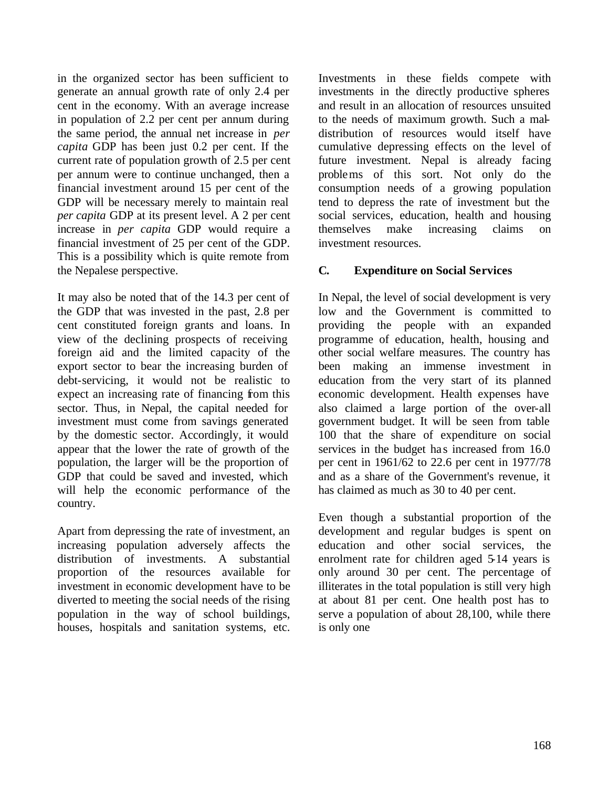in the organized sector has been sufficient to generate an annual growth rate of only 2.4 per cent in the economy. With an average increase in population of 2.2 per cent per annum during the same period, the annual net increase in *per capita* GDP has been just 0.2 per cent. If the current rate of population growth of 2.5 per cent per annum were to continue unchanged, then a financial investment around 15 per cent of the GDP will be necessary merely to maintain real *per capita* GDP at its present level. A 2 per cent increase in *per capita* GDP would require a financial investment of 25 per cent of the GDP. This is a possibility which is quite remote from the Nepalese perspective.

It may also be noted that of the 14.3 per cent of the GDP that was invested in the past, 2.8 per cent constituted foreign grants and loans. In view of the declining prospects of receiving foreign aid and the limited capacity of the export sector to bear the increasing burden of debt-servicing, it would not be realistic to expect an increasing rate of financing from this sector. Thus, in Nepal, the capital needed for investment must come from savings generated by the domestic sector. Accordingly, it would appear that the lower the rate of growth of the population, the larger will be the proportion of GDP that could be saved and invested, which will help the economic performance of the country.

Apart from depressing the rate of investment, an increasing population adversely affects the distribution of investments. A substantial proportion of the resources available for investment in economic development have to be diverted to meeting the social needs of the rising population in the way of school buildings, houses, hospitals and sanitation systems, etc.

Investments in these fields compete with investments in the directly productive spheres and result in an allocation of resources unsuited to the needs of maximum growth. Such a maldistribution of resources would itself have cumulative depressing effects on the level of future investment. Nepal is already facing problems of this sort. Not only do the consumption needs of a growing population tend to depress the rate of investment but the social services, education, health and housing themselves make increasing claims on investment resources.

## **C. Expenditure on Social Services**

In Nepal, the level of social development is very low and the Government is committed to providing the people with an expanded programme of education, health, housing and other social welfare measures. The country has been making an immense investment in education from the very start of its planned economic development. Health expenses have also claimed a large portion of the over-all government budget. It will be seen from table 100 that the share of expenditure on social services in the budget has increased from 16.0 per cent in 1961/62 to 22.6 per cent in 1977/78 and as a share of the Government's revenue, it has claimed as much as 30 to 40 per cent.

Even though a substantial proportion of the development and regular budges is spent on education and other social services, the enrolment rate for children aged 5-14 years is only around 30 per cent. The percentage of illiterates in the total population is still very high at about 81 per cent. One health post has to serve a population of about 28,100, while there is only one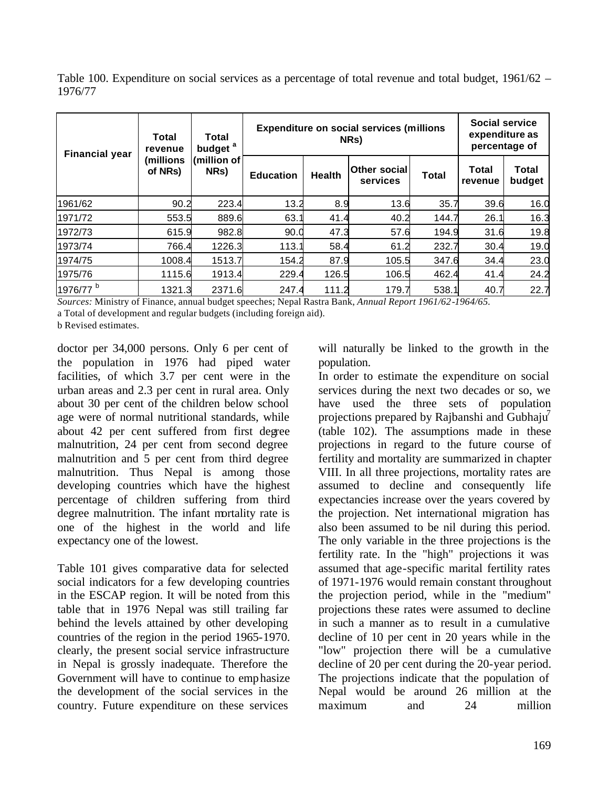Table 100. Expenditure on social services as a percentage of total revenue and total budget, 1961/62 – 1976/77

| <b>Financial year</b> | Total<br>revenue     | Total<br>budget <sup>a</sup> | <b>Expenditure on social services (millions)</b> | Social service<br>expenditure as<br>percentage of |                          |              |                  |                 |
|-----------------------|----------------------|------------------------------|--------------------------------------------------|---------------------------------------------------|--------------------------|--------------|------------------|-----------------|
|                       | (millions<br>of NRs) | (million of<br>NRs)          | <b>Education</b>                                 | <b>Health</b>                                     | Other social<br>services | <b>Total</b> | Total<br>revenue | Total<br>budget |
| 1961/62               | 90.2                 | 223.4                        | 13.2                                             | 8.9                                               | 13.6                     | 35.7         | 39.6             | 16.0            |
| 1971/72               | 553.5                | 889.6                        | 63.1                                             | 41.4                                              | 40.2                     | 144.7        | 26.7             | 16.3            |
| 1972/73               | 615.9                | 982.8                        | 90.0                                             | 47.3                                              | 57.6                     | 194.9        | 31.6             | 19.8            |
| 1973/74               | 766.4                | 1226.3                       | 113.1                                            | 58.4                                              | 61.2                     | 232.7        | 30.4             | 19.0            |
| 1974/75               | 1008.4               | 1513.7                       | 154.2                                            | 87.9                                              | 105.5                    | 347.6        | 34.4             | 23.0            |
| 1975/76               | 1115.6               | 1913.4                       | 229.4                                            | 126.5                                             | 106.5                    | 462.4        | 41.4             | 24.2            |
| 1976/77 <sup>b</sup>  | 1321.3               | 2371.6                       | 247.4                                            | 111.2                                             | 179.7                    | 538.1        | 40.7             | 22.7            |

*Sources:* Ministry of Finance, annual budget speeches; Nepal Rastra Bank, *Annual Report 1961/62-1964/65.*

a Total of development and regular budgets (including foreign aid).

b Revised estimates.

doctor per 34,000 persons. Only 6 per cent of the population in 1976 had piped water facilities, of which 3.7 per cent were in the urban areas and 2.3 per cent in rural area. Only about 30 per cent of the children below school age were of normal nutritional standards, while about 42 per cent suffered from first degree malnutrition, 24 per cent from second degree malnutrition and 5 per cent from third degree malnutrition. Thus Nepal is among those developing countries which have the highest percentage of children suffering from third degree malnutrition. The infant mortality rate is one of the highest in the world and life expectancy one of the lowest.

Table 101 gives comparative data for selected social indicators for a few developing countries in the ESCAP region. It will be noted from this table that in 1976 Nepal was still trailing far behind the levels attained by other developing countries of the region in the period 1965-1970. clearly, the present social service infrastructure in Nepal is grossly inadequate. Therefore the Government will have to continue to emphasize the development of the social services in the country. Future expenditure on these services

will naturally be linked to the growth in the population.

In order to estimate the expenditure on social services during the next two decades or so, we have used the three sets of population projections prepared by Rajbanshi and  $G$ ubhaju<sup>7</sup> (table 102). The assumptions made in these projections in regard to the future course of fertility and mortality are summarized in chapter VIII. In all three projections, mortality rates are assumed to decline and consequently life expectancies increase over the years covered by the projection. Net international migration has also been assumed to be nil during this period. The only variable in the three projections is the fertility rate. In the "high" projections it was assumed that age-specific marital fertility rates of 1971-1976 would remain constant throughout the projection period, while in the "medium" projections these rates were assumed to decline in such a manner as to result in a cumulative decline of 10 per cent in 20 years while in the "low" projection there will be a cumulative decline of 20 per cent during the 20-year period. The projections indicate that the population of Nepal would be around 26 million at the maximum and 24 million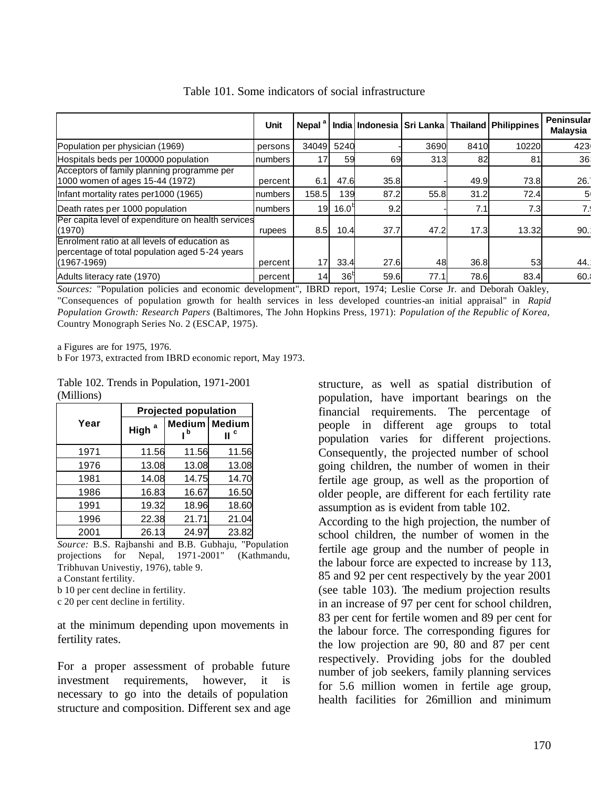|                                                                                                                    | <b>Unit</b> | Nepal <sup>a</sup> |                   |      |      |      | India Indonesia   Sri Lanka   Thailand   Philippines | Peninsular<br><b>Malaysia</b> |
|--------------------------------------------------------------------------------------------------------------------|-------------|--------------------|-------------------|------|------|------|------------------------------------------------------|-------------------------------|
| Population per physician (1969)                                                                                    | persons     | 34049              | 5240              |      | 3690 | 8410 | 10220                                                | 423                           |
| Hospitals beds per 100000 population                                                                               | numbers     | 17                 | 59                | 69   | 313  | 82   | 81                                                   | 36 <sup>°</sup>               |
| Acceptors of family planning programme per<br>1000 women of ages 15-44 (1972)                                      | percent     | 6.1                | 47.6              | 35.8 |      | 49.9 | 73.8                                                 | 26.                           |
| Infant mortality rates per1000 (1965)                                                                              | numbers     | 158.5              | 139               | 87.2 | 55.8 | 31.2 | 72.4                                                 | 5 <sub>1</sub>                |
| Death rates per 1000 population                                                                                    | numbers     | 19                 | 16.0 <sup>°</sup> | 9.2  |      | 7.1  | 7.3                                                  | 7.5                           |
| Per capita level of expenditure on health services<br>(1970)                                                       | rupees      | 8.5                | 10.4              | 37.7 | 47.2 | 17.3 | 13.32                                                | 90.                           |
| Enrolment ratio at all levels of education as<br>percentage of total population aged 5-24 years<br>$(1967 - 1969)$ | percent     | 17                 | 33.4              | 27.6 | 48   | 36.8 | 53                                                   | 44.                           |
| Adults literacy rate (1970)                                                                                        | percent     | 14                 | 36 <sup>6</sup>   | 59.6 | 77.1 | 78.6 | 83.4                                                 | 60.                           |

Table 101. Some indicators of social infrastructure

*Sources:* "Population policies and economic development", IBRD report, 1974; Leslie Corse Jr. and Deborah Oakley, "Consequences of population growth for health services in less developed countries-an initial appraisal" in *Rapid Population Growth: Research Papers* (Baltimores, The John Hopkins Press, 1971): *Population of the Republic of Korea,*  Country Monograph Series No. 2 (ESCAP, 1975).

a Figures are for 1975, 1976.

b For 1973, extracted from IBRD economic report, May 1973.

Table 102. Trends in Population, 1971-2001 (Millions)

|      | <b>Projected population</b> |                               |       |  |  |  |  |  |  |  |
|------|-----------------------------|-------------------------------|-------|--|--|--|--|--|--|--|
| Year | High <sup>a</sup>           | <b>Medium   Medium</b><br>, b | c     |  |  |  |  |  |  |  |
| 1971 | 11.56                       | 11.56                         | 11.56 |  |  |  |  |  |  |  |
| 1976 | 13.08                       | 13.08                         | 13.08 |  |  |  |  |  |  |  |
| 1981 | 14.08                       | 14.75                         | 14.70 |  |  |  |  |  |  |  |
| 1986 | 16.83                       | 16.67                         | 16.50 |  |  |  |  |  |  |  |
| 1991 | 19.32                       | 18.96                         | 18.60 |  |  |  |  |  |  |  |
| 1996 | 22.38                       | 21.71                         | 21.04 |  |  |  |  |  |  |  |
| 2001 | 26.13                       | 24.97                         | 23.82 |  |  |  |  |  |  |  |

*Source:* B.S. Rajbanshi and B.B. Gubhaju, "Population projections for Nepal, 1971-2001" (Kathmandu, Tribhuvan Univestiy, 1976), table 9.

a Constant fertility.

b 10 per cent decline in fertility.

c 20 per cent decline in fertility.

at the minimum depending upon movements in fertility rates.

For a proper assessment of probable future investment requirements, however, it is necessary to go into the details of population structure and composition. Different sex and age structure, as well as spatial distribution of population, have important bearings on the financial requirements. The percentage of people in different age groups to total population varies for different projections. Consequently, the projected number of school going children, the number of women in their fertile age group, as well as the proportion of older people, are different for each fertility rate assumption as is evident from table 102.

According to the high projection, the number of school children, the number of women in the fertile age group and the number of people in the labour force are expected to increase by 113, 85 and 92 per cent respectively by the year 2001 (see table 103). The medium projection results in an increase of 97 per cent for school children, 83 per cent for fertile women and 89 per cent for the labour force. The corresponding figures for the low projection are 90, 80 and 87 per cent respectively. Providing jobs for the doubled number of job seekers, family planning services for 5.6 million women in fertile age group, health facilities for 26million and minimum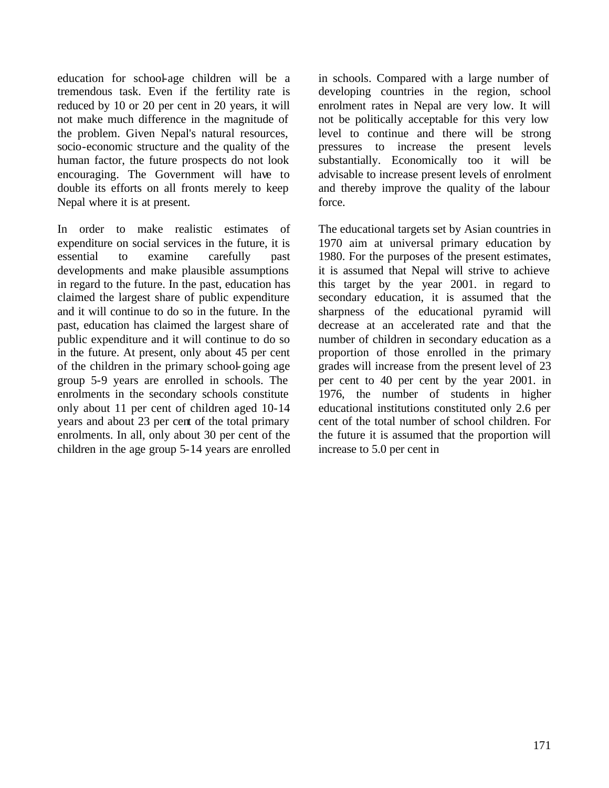education for school-age children will be a tremendous task. Even if the fertility rate is reduced by 10 or 20 per cent in 20 years, it will not make much difference in the magnitude of the problem. Given Nepal's natural resources, socio-economic structure and the quality of the human factor, the future prospects do not look encouraging. The Government will have to double its efforts on all fronts merely to keep Nepal where it is at present.

In order to make realistic estimates of expenditure on social services in the future, it is essential to examine carefully past developments and make plausible assumptions in regard to the future. In the past, education has claimed the largest share of public expenditure and it will continue to do so in the future. In the past, education has claimed the largest share of public expenditure and it will continue to do so in the future. At present, only about 45 per cent of the children in the primary school-going age group 5-9 years are enrolled in schools. The enrolments in the secondary schools constitute only about 11 per cent of children aged 10-14 years and about 23 per cent of the total primary enrolments. In all, only about 30 per cent of the children in the age group 5-14 years are enrolled in schools. Compared with a large number of developing countries in the region, school enrolment rates in Nepal are very low. It will not be politically acceptable for this very low level to continue and there will be strong pressures to increase the present levels substantially. Economically too it will be advisable to increase present levels of enrolment and thereby improve the quality of the labour force.

The educational targets set by Asian countries in 1970 aim at universal primary education by 1980. For the purposes of the present estimates, it is assumed that Nepal will strive to achieve this target by the year 2001. in regard to secondary education, it is assumed that the sharpness of the educational pyramid will decrease at an accelerated rate and that the number of children in secondary education as a proportion of those enrolled in the primary grades will increase from the present level of 23 per cent to 40 per cent by the year 2001. in 1976, the number of students in higher educational institutions constituted only 2.6 per cent of the total number of school children. For the future it is assumed that the proportion will increase to 5.0 per cent in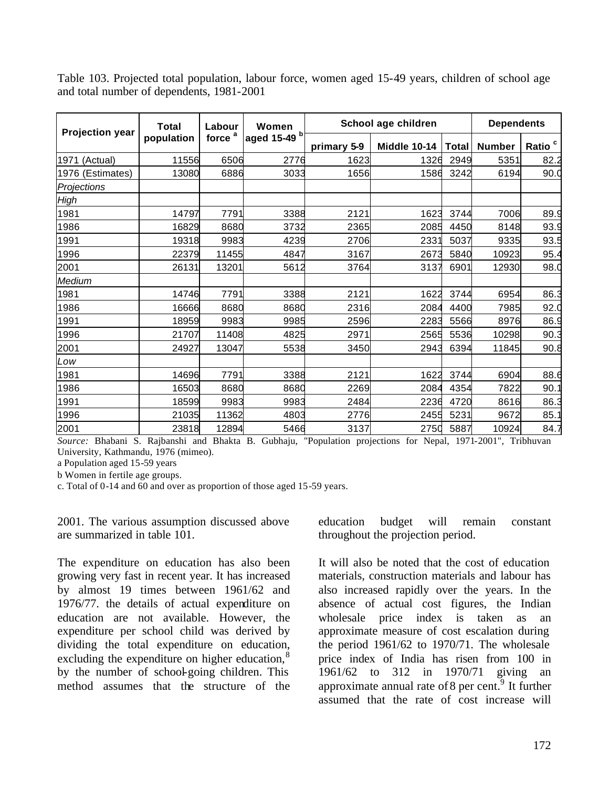| Table 103. Projected total population, labour force, women aged 15-49 years, children of school age |  |  |  |
|-----------------------------------------------------------------------------------------------------|--|--|--|
| and total number of dependents, 1981-2001                                                           |  |  |  |

|                        | Total      | Labour                                          | Women |             | School age children |              | <b>Dependents</b> |                    |  |
|------------------------|------------|-------------------------------------------------|-------|-------------|---------------------|--------------|-------------------|--------------------|--|
| <b>Projection year</b> | population | aged 15-49 <sup>b</sup>  <br>force <sup>a</sup> |       | primary 5-9 | <b>Middle 10-14</b> | <b>Total</b> | <b>Number</b>     | Ratio <sup>c</sup> |  |
| 1971 (Actual)          | 11556      | 6506                                            | 2776  | 1623        | 1326                | 2949         | 5351              | 82.2               |  |
| 1976 (Estimates)       | 13080      | 6886                                            | 3033  | 1656        | 1586                | 3242         | 6194              | 90.0               |  |
| Projections            |            |                                                 |       |             |                     |              |                   |                    |  |
| High                   |            |                                                 |       |             |                     |              |                   |                    |  |
| 1981                   | 14797      | 7791                                            | 3388  | 2121        | 1623                | 3744         | 7006              | 89.9               |  |
| 1986                   | 16829      | 8680                                            | 3732  | 2365        | 2085                | 4450         | 8148              | 93.9               |  |
| 1991                   | 19318      | 9983                                            | 4239  | 2706        | 2331                | 5037         | 9335              | 93.5               |  |
| 1996                   | 22379      | 11455                                           | 4847  | 3167        | 2673                | 5840         | 10923             | 95.4               |  |
| 2001                   | 26131      | 13201                                           | 5612  | 3764        | 3137                | 6901         | 12930             | 98.0               |  |
| Medium                 |            |                                                 |       |             |                     |              |                   |                    |  |
| 1981                   | 14746      | 7791                                            | 3388  | 2121        | 1622                | 3744         | 6954              | 86.3               |  |
| 1986                   | 16666      | 8680                                            | 8680  | 2316        | 2084                | 4400         | 7985              | 92.0               |  |
| 1991                   | 18959      | 9983                                            | 9985  | 2596        | 2283                | 5566         | 8976              | 86.9               |  |
| 1996                   | 21707      | 11408                                           | 4825  | 2971        | 2565                | 5536         | 10298             | 90.3               |  |
| 2001                   | 24927      | 13047                                           | 5538  | 3450        | 2943                | 6394         | 11845             | 90.8               |  |
| Low                    |            |                                                 |       |             |                     |              |                   |                    |  |
| 1981                   | 14696      | 7791                                            | 3388  | 2121        | 1622                | 3744         | 6904              | 88.6               |  |
| 1986                   | 16503      | 8680                                            | 8680  | 2269        | 2084                | 4354         | 7822              | 90.7               |  |
| 1991                   | 18599      | 9983                                            | 9983  | 2484        | 2236                | 4720         | 8616              | 86.3               |  |
| 1996                   | 21035      | 11362                                           | 4803  | 2776        | 2455                | 5231         | 9672              | 85.1               |  |
| 2001                   | 23818      | 12894                                           | 5466  | 3137        | 2750                | 5887         | 10924             | 84.7               |  |

*Source:* Bhabani S. Rajbanshi and Bhakta B. Gubhaju, "Population projections for Nepal, 1971-2001", Tribhuvan University, Kathmandu, 1976 (mimeo).

a Population aged 15-59 years

b Women in fertile age groups.

c. Total of 0-14 and 60 and over as proportion of those aged 15-59 years.

2001. The various assumption discussed above are summarized in table 101.

The expenditure on education has also been growing very fast in recent year. It has increased by almost 19 times between 1961/62 and 1976/77. the details of actual expenditure on education are not available. However, the expenditure per school child was derived by dividing the total expenditure on education, excluding the expenditure on higher education,<sup>8</sup> by the number of school-going children. This method assumes that the structure of the

education budget will remain constant throughout the projection period.

It will also be noted that the cost of education materials, construction materials and labour has also increased rapidly over the years. In the absence of actual cost figures, the Indian wholesale price index is taken as an approximate measure of cost escalation during the period 1961/62 to 1970/71. The wholesale price index of India has risen from 100 in 1961/62 to 312 in 1970/71 giving an approximate annual rate of 8 per cent. $9$  It further assumed that the rate of cost increase will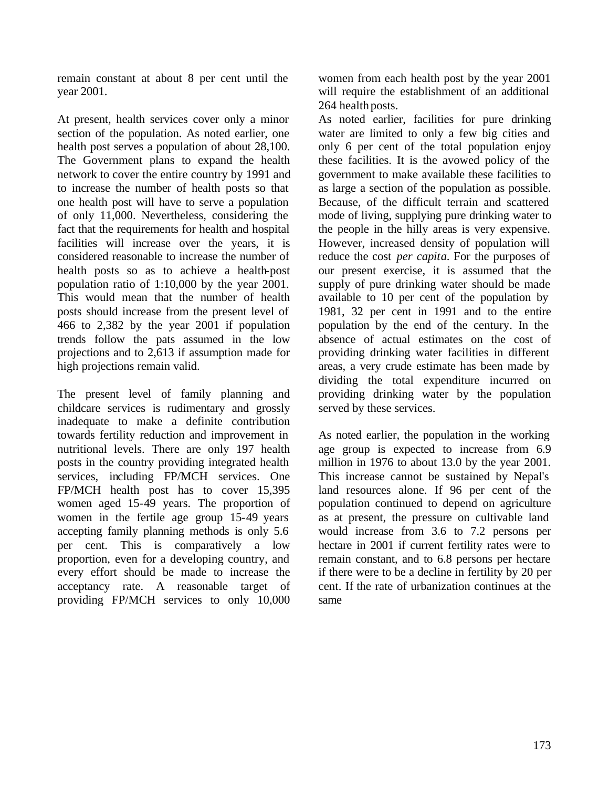remain constant at about 8 per cent until the year 2001.

At present, health services cover only a minor section of the population. As noted earlier, one health post serves a population of about 28,100. The Government plans to expand the health network to cover the entire country by 1991 and to increase the number of health posts so that one health post will have to serve a population of only 11,000. Nevertheless, considering the fact that the requirements for health and hospital facilities will increase over the years, it is considered reasonable to increase the number of health posts so as to achieve a health-post population ratio of 1:10,000 by the year 2001. This would mean that the number of health posts should increase from the present level of 466 to 2,382 by the year 2001 if population trends follow the pats assumed in the low projections and to 2,613 if assumption made for high projections remain valid.

The present level of family planning and childcare services is rudimentary and grossly inadequate to make a definite contribution towards fertility reduction and improvement in nutritional levels. There are only 197 health posts in the country providing integrated health services, including FP/MCH services. One FP/MCH health post has to cover 15,395 women aged 15-49 years. The proportion of women in the fertile age group 15-49 years accepting family planning methods is only 5.6 per cent. This is comparatively a low proportion, even for a developing country, and every effort should be made to increase the acceptancy rate. A reasonable target of providing FP/MCH services to only 10,000 women from each health post by the year 2001 will require the establishment of an additional 264 health posts.

As noted earlier, facilities for pure drinking water are limited to only a few big cities and only 6 per cent of the total population enjoy these facilities. It is the avowed policy of the government to make available these facilities to as large a section of the population as possible. Because, of the difficult terrain and scattered mode of living, supplying pure drinking water to the people in the hilly areas is very expensive. However, increased density of population will reduce the cost *per capita*. For the purposes of our present exercise, it is assumed that the supply of pure drinking water should be made available to 10 per cent of the population by 1981, 32 per cent in 1991 and to the entire population by the end of the century. In the absence of actual estimates on the cost of providing drinking water facilities in different areas, a very crude estimate has been made by dividing the total expenditure incurred on providing drinking water by the population served by these services.

As noted earlier, the population in the working age group is expected to increase from 6.9 million in 1976 to about 13.0 by the year 2001. This increase cannot be sustained by Nepal's land resources alone. If 96 per cent of the population continued to depend on agriculture as at present, the pressure on cultivable land would increase from 3.6 to 7.2 persons per hectare in 2001 if current fertility rates were to remain constant, and to 6.8 persons per hectare if there were to be a decline in fertility by 20 per cent. If the rate of urbanization continues at the same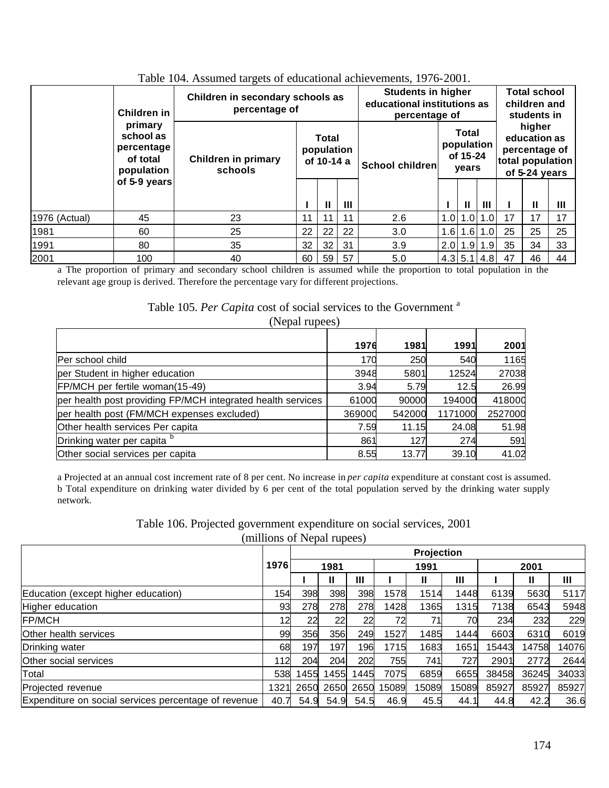|               | Children in                                                  | Children in secondary schools as<br>percentage of |    |                                   |    | <b>Students in higher</b><br>educational institutions as<br>percentage of | <b>Total school</b><br>children and<br>students in |               |             |                 |    |                            |  |            |  |  |                                                                              |  |
|---------------|--------------------------------------------------------------|---------------------------------------------------|----|-----------------------------------|----|---------------------------------------------------------------------------|----------------------------------------------------|---------------|-------------|-----------------|----|----------------------------|--|------------|--|--|------------------------------------------------------------------------------|--|
|               | primary<br>school as<br>percentage<br>of total<br>population | <b>Children in primary</b><br>schools             |    | Total<br>population<br>of 10-14 a |    |                                                                           |                                                    |               |             | School children |    | Total<br>of 15-24<br>years |  | population |  |  | higher<br>education as<br>percentage of<br>total population<br>of 5-24 years |  |
|               | of 5-9 years                                                 |                                                   |    |                                   |    |                                                                           |                                                    |               |             |                 |    |                            |  |            |  |  |                                                                              |  |
|               |                                                              |                                                   |    | Ш                                 | Ш  |                                                                           |                                                    | Ш             | Ш           |                 |    | Ш                          |  |            |  |  |                                                                              |  |
| 1976 (Actual) | 45                                                           | 23                                                | 11 |                                   | 11 | 2.6                                                                       | 1.0 <sub>l</sub>                                   |               | $1.0$   1.0 | 17              | 17 | 17                         |  |            |  |  |                                                                              |  |
| 1981          | 60                                                           | 25                                                | 22 | 22                                | 22 | 3.0                                                                       | 1.6                                                |               | $1.6$   1.0 | 25              | 25 | 25                         |  |            |  |  |                                                                              |  |
| 1991          | 80                                                           | 35                                                | 32 | 32                                | 31 | 3.9                                                                       | 2.0                                                |               | $1.9$ 1.9   | 35              | 34 | 33                         |  |            |  |  |                                                                              |  |
| 2001          | 100                                                          | 40                                                | 60 | 59                                | 57 | 5.0                                                                       |                                                    | $4.3$ 5.1 4.8 |             | 47              | 46 | 44                         |  |            |  |  |                                                                              |  |

Table 104. Assumed targets of educational achievements, 1976-2001.

a The proportion of primary and secondary school children is assumed while the proportion to total population in the relevant age group is derived. Therefore the percentage vary for different projections.

#### Table 105. Per Capita cost of social services to the Government<sup>a</sup> (Nepal rupees)

| $(1.9)$ ur Tupoo $7$                                        |        |        |         |         |
|-------------------------------------------------------------|--------|--------|---------|---------|
|                                                             | 1976   | 1981   | 1991    | 2001    |
| Per school child                                            | 170    | 250    | 540     | 1165    |
| per Student in higher education                             | 3948   | 5801   | 12524   | 27038   |
| FP/MCH per fertile woman(15-49)                             | 3.94   | 5.79   | 12.5    | 26.99   |
| per health post providing FP/MCH integrated health services | 61000  | 90000  | 194000  | 418000  |
| per health post (FM/MCH expenses excluded)                  | 369000 | 542000 | 1171000 | 2527000 |
| Other health services Per capita                            | 7.59   | 11.15  | 24.08   | 51.98   |
| Drinking water per capita <sup>b</sup>                      | 861    | 127    | 274     | 591     |
| Other social services per capita                            | 8.55   | 13.77  | 39.10   | 41.02   |

a Projected at an annual cost increment rate of 8 per cent. No increase in *per capita* expenditure at constant cost is assumed. b Total expenditure on drinking water divided by 6 per cent of the total population served by the drinking water supply network.

Table 106. Projected government expenditure on social services, 2001 (millions of Nepal rupees)

|                                                      |                              | <b>Projection</b> |      |      |       |       |       |       |       |       |  |
|------------------------------------------------------|------------------------------|-------------------|------|------|-------|-------|-------|-------|-------|-------|--|
|                                                      |                              | 1976<br>1981      |      |      |       | 1991  |       |       | 2001  |       |  |
|                                                      | 154<br>93<br>99<br>68<br>112 |                   | Ш    | Ш    |       | Ш     | Ш     |       | Ш     | Ш     |  |
| Education (except higher education)                  |                              | 398               | 398  | 398  | 1578  | 1514  | 1448  | 6139  | 5630  | 5117  |  |
| Higher education                                     |                              | 278               | 278  | 278  | 1428  | 1365  | 1315  | 7138  | 6543  | 5948  |  |
| <b>FP/MCH</b>                                        |                              | 22                | 22   | 22   | 72    |       | 70    | 234   | 232   | 229   |  |
| <b>Other health services</b>                         |                              | 356               | 356  | 249  | 1527  | 1485  | 1444  | 6603  | 6310  | 6019  |  |
| Drinking water                                       |                              | 197               | 197  | 196  | 1715  | 1683  | 1651  | 15443 | 14758 | 14076 |  |
| Other social services                                |                              | 204               | 204  | 202  | 755   | 741   | 727   | 2901  | 2772  | 2644  |  |
| Total                                                | 538                          | 1455              | 1455 | 1445 | 7075  | 6859  | 6655  | 38458 | 36245 | 34033 |  |
| Projected revenue                                    | 1321                         | 2650              | 2650 | 2650 | 15089 | 15089 | 15089 | 85927 | 85927 | 85927 |  |
| Expenditure on social services percentage of revenue | 40.7                         | 54.9              | 54.9 | 54.5 | 46.9  | 45.5  | 44.1  | 44.8  | 42.2  | 36.6  |  |